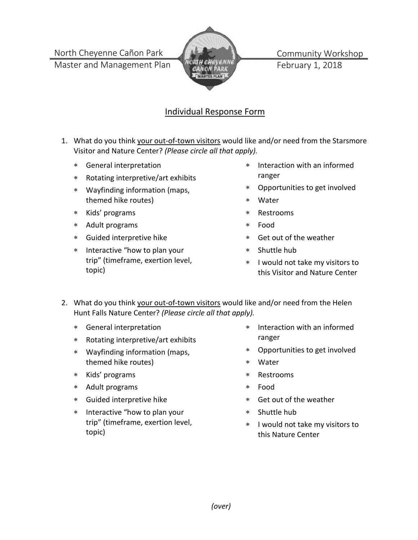North Cheyenne Cañon Park

Master and Management Plan



Community Workshop February 1, 2018

## Individual Response Form

- 1. What do you think your out-of-town visitors would like and/or need from the Starsmore Visitor and Nature Center? *(Please circle all that apply).*
	- ∗ General interpretation
	- ∗ Rotating interpretive/art exhibits
	- ∗ Wayfinding information (maps, themed hike routes)
	- ∗ Kids' programs
	- ∗ Adult programs
	- ∗ Guided interpretive hike
	- ∗ Interactive "how to plan your trip" (timeframe, exertion level, topic)
- ∗ Interaction with an informed ranger
- ∗ Opportunities to get involved
- ∗ Water
- ∗ Restrooms
- ∗ Food
- ∗ Get out of the weather
- ∗ Shuttle hub
- ∗ I would not take my visitors to this Visitor and Nature Center
- 2. What do you think your out-of-town visitors would like and/or need from the Helen Hunt Falls Nature Center? *(Please circle all that apply).*
	- ∗ General interpretation
	- ∗ Rotating interpretive/art exhibits
	- ∗ Wayfinding information (maps, themed hike routes)
	- ∗ Kids' programs
	- ∗ Adult programs
	- ∗ Guided interpretive hike
	- ∗ Interactive "how to plan your trip" (timeframe, exertion level, topic)
- ∗ Interaction with an informed ranger
- ∗ Opportunities to get involved
- ∗ Water
- ∗ Restrooms
- ∗ Food
- Get out of the weather
- ∗ Shuttle hub
- ∗ I would not take my visitors to this Nature Center